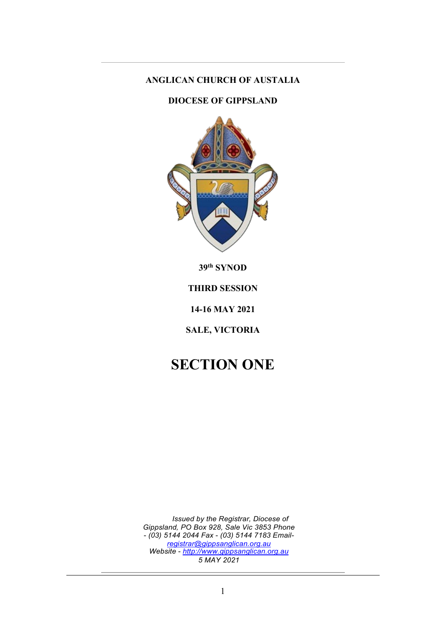# **ANGLICAN CHURCH OF AUSTALIA**

### **DIOCESE OF GIPPSLAND**



**39th SYNOD**

**THIRD SESSION**

**14-16 MAY 2021**

**SALE, VICTORIA**

# **SECTION ONE**

*Issued by the Registrar, Diocese of Gippsland, PO Box 928, Sale Vic 3853 Phone*  - *(03) 5144 2044 Fax* - *(03) 5144 7183 Email[registrar@gippsanglican.org.au](mailto:registrar@gippsanglican.org.au) Website* - *[http://www.gippsanglican.org.au](http://www.gippsanglican.org.au/) 5 MAY 2021*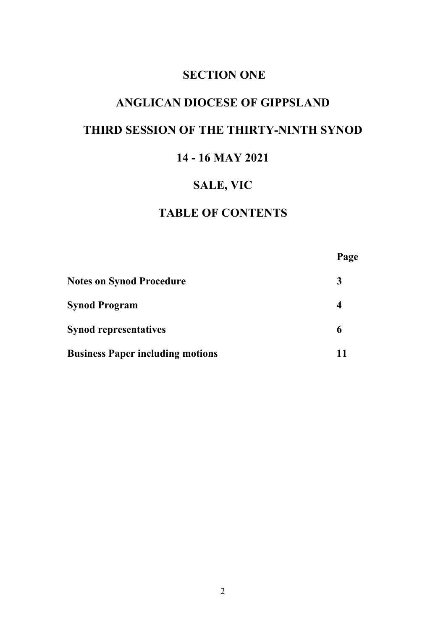# **SECTION ONE**

# **ANGLICAN DIOCESE OF GIPPSLAND**

# **THIRD SESSION OF THE THIRTY-NINTH SYNOD**

# **14 - 16 MAY 2021**

# **SALE, VIC**

# **TABLE OF CONTENTS**

|                                         | Page |
|-----------------------------------------|------|
| <b>Notes on Synod Procedure</b>         |      |
| <b>Synod Program</b>                    | 4    |
| <b>Synod representatives</b>            | 6    |
| <b>Business Paper including motions</b> | 11   |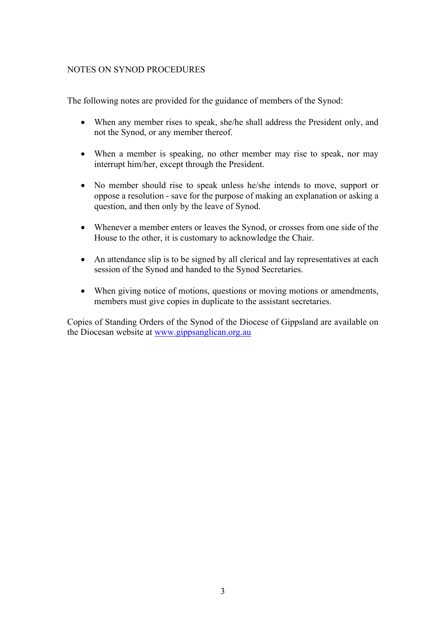### NOTES ON SYNOD PROCEDURES

The following notes are provided for the guidance of members of the Synod:

- When any member rises to speak, she/he shall address the President only, and not the Synod, or any member thereof.
- When a member is speaking, no other member may rise to speak, nor may interrupt him/her, except through the President.
- No member should rise to speak unless he/she intends to move, support or oppose a resolution - save for the purpose of making an explanation or asking a question, and then only by the leave of Synod.
- Whenever a member enters or leaves the Synod, or crosses from one side of the House to the other, it is customary to acknowledge the Chair.
- An attendance slip is to be signed by all clerical and lay representatives at each session of the Synod and handed to the Synod Secretaries.
- When giving notice of motions, questions or moving motions or amendments, members must give copies in duplicate to the assistant secretaries.

Copies of Standing Orders of the Synod of the Diocese of Gippsland are available on the Diocesan website at [www.gippsanglican.org.au](http://www.gippsanglican.org.au/)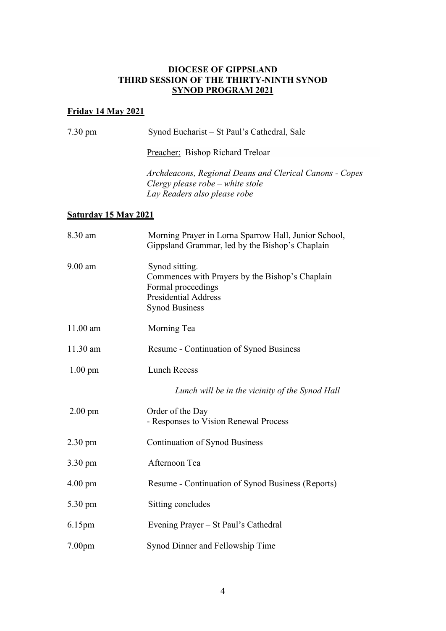### **DIOCESE OF GIPPSLAND THIRD SESSION OF THE THIRTY-NINTH SYNOD SYNOD PROGRAM 2021**

# **Friday 14 May 2021**

| $7.30 \text{ pm}$           | Synod Eucharist – St Paul's Cathedral, Sale                                                                                                     |  |
|-----------------------------|-------------------------------------------------------------------------------------------------------------------------------------------------|--|
|                             | Preacher: Bishop Richard Treloar                                                                                                                |  |
|                             | Archdeacons, Regional Deans and Clerical Canons - Copes<br>Clergy please robe - white stole<br>Lay Readers also please robe                     |  |
| <b>Saturday 15 May 2021</b> |                                                                                                                                                 |  |
| 8.30 am                     | Morning Prayer in Lorna Sparrow Hall, Junior School,<br>Gippsland Grammar, led by the Bishop's Chaplain                                         |  |
| $9.00$ am                   | Synod sitting.<br>Commences with Prayers by the Bishop's Chaplain<br>Formal proceedings<br><b>Presidential Address</b><br><b>Synod Business</b> |  |
| $11.00$ am                  | Morning Tea                                                                                                                                     |  |
| $11.30$ am                  | <b>Resume - Continuation of Synod Business</b>                                                                                                  |  |
| $1.00 \text{ pm}$           | <b>Lunch Recess</b>                                                                                                                             |  |
|                             | Lunch will be in the vicinity of the Synod Hall                                                                                                 |  |
| $2.00$ pm                   | Order of the Day<br>- Responses to Vision Renewal Process                                                                                       |  |
| $2.30 \text{ pm}$           | <b>Continuation of Synod Business</b>                                                                                                           |  |
| 3.30 pm                     | Afternoon Tea                                                                                                                                   |  |
| $4.00 \text{ pm}$           | Resume - Continuation of Synod Business (Reports)                                                                                               |  |
| 5.30 pm                     | Sitting concludes                                                                                                                               |  |
| 6.15 <sub>pm</sub>          | Evening Prayer - St Paul's Cathedral                                                                                                            |  |
| 7.00 <sub>pm</sub>          | Synod Dinner and Fellowship Time                                                                                                                |  |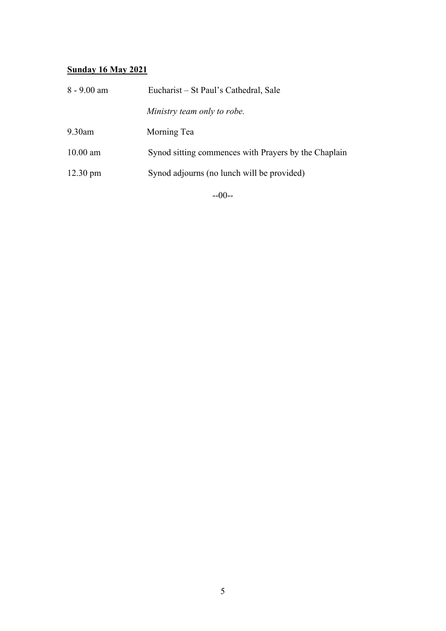### **Sunday 16 May 2021**

| $8 - 9.00$ am      | Eucharist – St Paul's Cathedral, Sale                |  |
|--------------------|------------------------------------------------------|--|
|                    | Ministry team only to robe.                          |  |
| $9.30$ am          | Morning Tea                                          |  |
| $10.00$ am         | Synod sitting commences with Prayers by the Chaplain |  |
| $12.30 \text{ pm}$ | Synod adjourns (no lunch will be provided)           |  |
|                    |                                                      |  |

--00--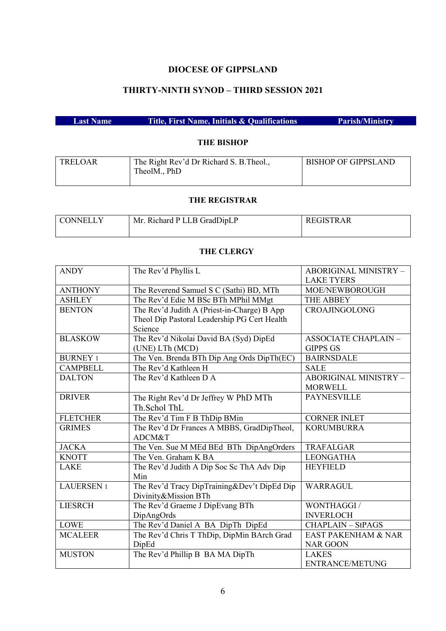### **DIOCESE OF GIPPSLAND**

# **THIRTY-NINTH SYNOD – THIRD SESSION 2021**

|--|

### **THE BISHOP**

| TRELOAR | The Right Rev'd Dr Richard S. B. Theol., | <b>BISHOP OF GIPPSLAND</b> |
|---------|------------------------------------------|----------------------------|
|         | TheolM., PhD                             |                            |
|         |                                          |                            |

#### **THE REGISTRAR**

| <b>CONNELLY</b> | Mr. Richard P LLB GradDipLP | REGISTRAR |
|-----------------|-----------------------------|-----------|
|                 |                             |           |

### **THE CLERGY**

| <b>ANDY</b>      | The Rev'd Phyllis L                          | <b>ABORIGINAL MINISTRY -</b>   |
|------------------|----------------------------------------------|--------------------------------|
|                  |                                              | <b>LAKE TYERS</b>              |
| <b>ANTHONY</b>   | The Reverend Samuel S C (Sathi) BD, MTh      | MOE/NEWBOROUGH                 |
| <b>ASHLEY</b>    | The Rev'd Edie M BSc BTh MPhil MMgt          | <b>THE ABBEY</b>               |
| <b>BENTON</b>    | The Rev'd Judith A (Priest-in-Charge) B App  | CROAJINGOLONG                  |
|                  | Theol Dip Pastoral Leadership PG Cert Health |                                |
|                  | Science                                      |                                |
| <b>BLASKOW</b>   | The Rev'd Nikolai David BA (Syd) DipEd       | <b>ASSOCIATE CHAPLAIN -</b>    |
|                  | (UNE) LTh (MCD)                              | <b>GIPPS GS</b>                |
| <b>BURNEY 1</b>  | The Ven. Brenda BTh Dip Ang Ords DipTh(EC)   | <b>BAIRNSDALE</b>              |
| <b>CAMPBELL</b>  | The Rev'd Kathleen H                         | <b>SALE</b>                    |
| <b>DALTON</b>    | The Rev'd Kathleen D A                       | ABORIGINAL MINISTRY -          |
|                  |                                              | <b>MORWELL</b>                 |
| <b>DRIVER</b>    | The Right Rev'd Dr Jeffrey W PhD MTh         | <b>PAYNESVILLE</b>             |
|                  | Th.Schol ThL                                 |                                |
| <b>FLETCHER</b>  | The Rev'd Tim F B ThDip BMin                 | <b>CORNER INLET</b>            |
| <b>GRIMES</b>    | The Rev'd Dr Frances A MBBS, GradDipTheol,   | <b>KORUMBURRA</b>              |
|                  | ADCM&T                                       |                                |
| <b>JACKA</b>     | The Ven. Sue M MEd BEd BTh DipAngOrders      | <b>TRAFALGAR</b>               |
| <b>KNOTT</b>     | The Ven. Graham K BA                         | <b>LEONGATHA</b>               |
| <b>LAKE</b>      | The Rev'd Judith A Dip Soc Sc ThA Adv Dip    | <b>HEYFIELD</b>                |
|                  | Min                                          |                                |
| <b>LAUERSEN1</b> | The Rev'd Tracy DipTraining&Dev't DipEd Dip  | WARRAGUL                       |
|                  | Divinity&Mission BTh                         |                                |
| <b>LIESRCH</b>   | The Rev'd Graeme J DipEvang BTh              | WONTHAGGI /                    |
|                  | DipAngOrds                                   | <b>INVERLOCH</b>               |
| <b>LOWE</b>      | The Rev'd Daniel A BA DipTh DipEd            | <b>CHAPLAIN - StPAGS</b>       |
| <b>MCALEER</b>   | The Rev'd Chris T ThDip, DipMin BArch Grad   | <b>EAST PAKENHAM &amp; NAR</b> |
|                  | DipEd                                        | <b>NAR GOON</b>                |
| <b>MUSTON</b>    | The Rev'd Phillip B BA MA DipTh              | <b>LAKES</b>                   |
|                  |                                              | <b>ENTRANCE/METUNG</b>         |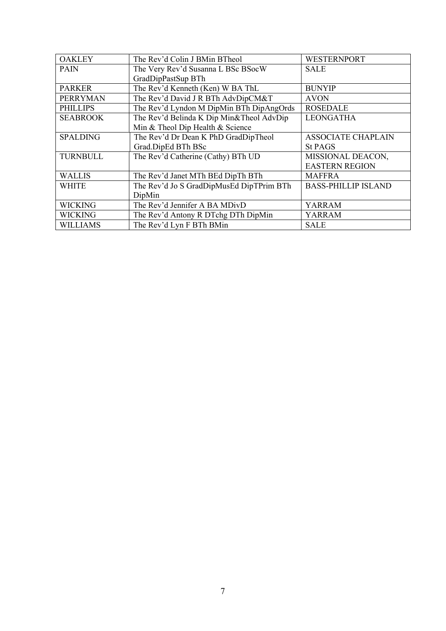| <b>OAKLEY</b>   | The Rev'd Colin J BMin BTheol            | <b>WESTERNPORT</b>         |
|-----------------|------------------------------------------|----------------------------|
| <b>PAIN</b>     | The Very Rev'd Susanna L BSc BSocW       | <b>SALE</b>                |
|                 | GradDipPastSup BTh                       |                            |
| <b>PARKER</b>   | The Rev'd Kenneth (Ken) W BA ThL         | <b>BUNYIP</b>              |
| <b>PERRYMAN</b> | The Rev'd David J R BTh AdvDipCM&T       | <b>AVON</b>                |
| <b>PHILLIPS</b> | The Rev'd Lyndon M DipMin BTh DipAngOrds | <b>ROSEDALE</b>            |
| <b>SEABROOK</b> | The Rev'd Belinda K Dip Min&Theol AdvDip | <b>LEONGATHA</b>           |
|                 | Min & Theol Dip Health & Science         |                            |
| <b>SPALDING</b> | The Rev'd Dr Dean K PhD GradDipTheol     | <b>ASSOCIATE CHAPLAIN</b>  |
|                 | Grad.DipEd BTh BSc                       | <b>St PAGS</b>             |
| <b>TURNBULL</b> | The Rev'd Catherine (Cathy) BTh UD       | MISSIONAL DEACON,          |
|                 |                                          | <b>EASTERN REGION</b>      |
| <b>WALLIS</b>   | The Rev'd Janet MTh BEd DipTh BTh        | <b>MAFFRA</b>              |
| <b>WHITE</b>    | The Rev'd Jo S GradDipMusEd DipTPrim BTh | <b>BASS-PHILLIP ISLAND</b> |
|                 | DipMin                                   |                            |
| <b>WICKING</b>  | The Rev'd Jennifer A BA MDivD            | <b>YARRAM</b>              |
| <b>WICKING</b>  | The Rev'd Antony R DTchg DTh DipMin      | YARRAM                     |
| <b>WILLIAMS</b> | The Rev'd Lyn F BTh BMin                 | <b>SALE</b>                |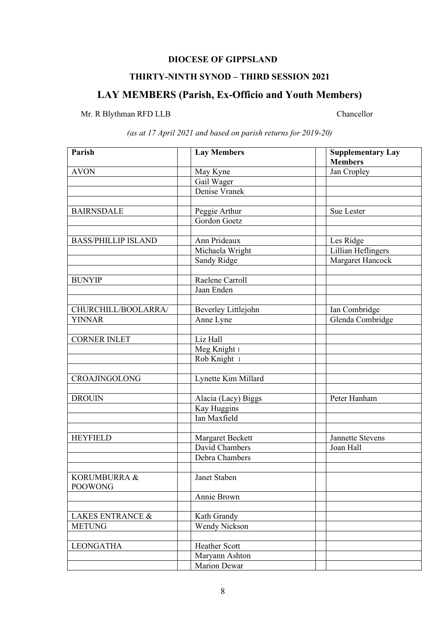# **DIOCESE OF GIPPSLAND**

### **THIRTY-NINTH SYNOD – THIRD SESSION 2021**

# **LAY MEMBERS (Parish, Ex-Officio and Youth Members)**

# Mr. R Blythman RFD LLB Chancellor

| Parish                      | <b>Lay Members</b>           | <b>Supplementary Lay</b>  |
|-----------------------------|------------------------------|---------------------------|
|                             |                              | <b>Members</b>            |
| <b>AVON</b>                 | May Kyne                     | Jan Cropley               |
|                             | Gail Wager                   |                           |
|                             | Denise Vranek                |                           |
|                             |                              |                           |
| <b>BAIRNSDALE</b>           | Peggie Arthur                | Sue Lester                |
|                             | Gordon Goetz                 |                           |
|                             |                              |                           |
| <b>BASS/PHILLIP ISLAND</b>  | Ann Prideaux                 | Les Ridge                 |
|                             | Michaela Wright              | <b>Lillian Heflingers</b> |
|                             | Sandy Ridge                  | Margaret Hancock          |
|                             |                              |                           |
| <b>BUNYIP</b>               | Raelene Carroll              |                           |
|                             | Jaan Enden                   |                           |
|                             |                              |                           |
| CHURCHILL/BOOLARRA/         | Beverley Littlejohn          | Ian Combridge             |
| <b>YINNAR</b>               | Anne Lyne                    | Glenda Combridge          |
| <b>CORNER INLET</b>         | Liz Hall                     |                           |
|                             |                              |                           |
|                             | Meg Knight 1<br>Rob Knight 1 |                           |
|                             |                              |                           |
| CROAJINGOLONG               | Lynette Kim Millard          |                           |
|                             |                              |                           |
| <b>DROUIN</b>               | Alacia (Lacy) Biggs          | Peter Hanham              |
|                             | Kay Huggins                  |                           |
|                             | Ian Maxfield                 |                           |
|                             |                              |                           |
| <b>HEYFIELD</b>             | Margaret Beckett             | <b>Jannette Stevens</b>   |
|                             | David Chambers               | Joan Hall                 |
|                             | Debra Chambers               |                           |
|                             |                              |                           |
| KORUMBURRA &                | Janet Staben                 |                           |
| <b>POOWONG</b>              |                              |                           |
|                             | Annie Brown                  |                           |
|                             |                              |                           |
| <b>LAKES ENTRANCE &amp;</b> | Kath Grandy                  |                           |
| <b>METUNG</b>               | <b>Wendy Nickson</b>         |                           |
|                             |                              |                           |
| <b>LEONGATHA</b>            | Heather Scott                |                           |
|                             | Maryann Ashton               |                           |
|                             | Marion Dewar                 |                           |

*(as at 17 April 2021 and based on parish returns for 2019-20)*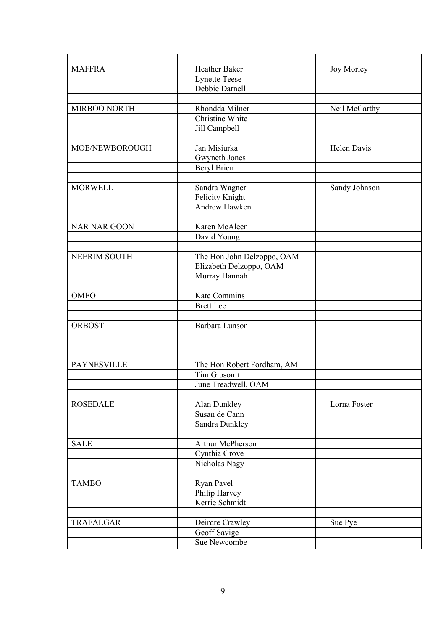| <b>MAFFRA</b>       | Heather Baker              | Joy Morley         |
|---------------------|----------------------------|--------------------|
|                     | <b>Lynette Teese</b>       |                    |
|                     | Debbie Darnell             |                    |
|                     |                            |                    |
| MIRBOO NORTH        | Rhondda Milner             | Neil McCarthy      |
|                     | Christine White            |                    |
|                     | Jill Campbell              |                    |
|                     |                            |                    |
| MOE/NEWBOROUGH      | Jan Misiurka               | <b>Helen Davis</b> |
|                     | Gwyneth Jones              |                    |
|                     | <b>Beryl Brien</b>         |                    |
|                     |                            |                    |
| <b>MORWELL</b>      | Sandra Wagner              | Sandy Johnson      |
|                     | Felicity Knight            |                    |
|                     | Andrew Hawken              |                    |
| <b>NAR NAR GOON</b> | Karen McAleer              |                    |
|                     | David Young                |                    |
|                     |                            |                    |
| NEERIM SOUTH        | The Hon John Delzoppo, OAM |                    |
|                     | Elizabeth Delzoppo, OAM    |                    |
|                     | Murray Hannah              |                    |
|                     |                            |                    |
| <b>OMEO</b>         | Kate Commins               |                    |
|                     | <b>Brett Lee</b>           |                    |
|                     |                            |                    |
| <b>ORBOST</b>       | Barbara Lunson             |                    |
|                     |                            |                    |
|                     |                            |                    |
|                     |                            |                    |
| <b>PAYNESVILLE</b>  | The Hon Robert Fordham, AM |                    |
|                     | Tim Gibson 1               |                    |
|                     | June Treadwell, OAM        |                    |
| <b>ROSEDALE</b>     | Alan Dunkley               | Lorna Foster       |
|                     | Susan de Cann              |                    |
|                     | Sandra Dunkley             |                    |
|                     |                            |                    |
| <b>SALE</b>         | Arthur McPherson           |                    |
|                     | Cynthia Grove              |                    |
|                     | Nicholas Nagy              |                    |
|                     |                            |                    |
| <b>TAMBO</b>        | Ryan Pavel                 |                    |
|                     | Philip Harvey              |                    |
|                     | Kerrie Schmidt             |                    |
|                     |                            |                    |
| TRAFALGAR           | Deirdre Crawley            | Sue Pye            |
|                     | Geoff Savige               |                    |
|                     | Sue Newcombe               |                    |
|                     |                            |                    |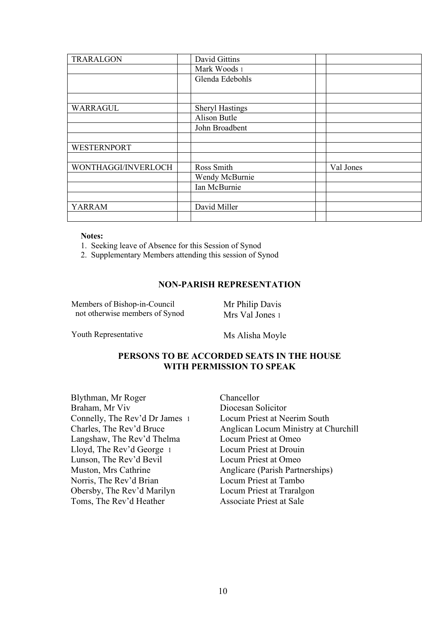| TRARALGON           | David Gittins          |           |
|---------------------|------------------------|-----------|
|                     | Mark Woods 1           |           |
|                     | Glenda Edebohls        |           |
|                     |                        |           |
| WARRAGUL            | <b>Sheryl Hastings</b> |           |
|                     | <b>Alison Butle</b>    |           |
|                     | John Broadbent         |           |
|                     |                        |           |
| <b>WESTERNPORT</b>  |                        |           |
|                     |                        |           |
| WONTHAGGI/INVERLOCH | Ross Smith             | Val Jones |
|                     | Wendy McBurnie         |           |
|                     | Ian McBurnie           |           |
|                     |                        |           |
| <b>YARRAM</b>       | David Miller           |           |
|                     |                        |           |

#### **Notes:**

1. Seeking leave of Absence for this Session of Synod

2. Supplementary Members attending this session of Synod

#### **NON-PARISH REPRESENTATION**

Members of Bishop-in-Council not otherwise members of Synod Mr Philip Davis Mrs Val Jones 1

Youth Representative Ms Alisha Moyle

### **PERSONS TO BE ACCORDED SEATS IN THE HOUSE WITH PERMISSION TO SPEAK**

Blythman, Mr Roger Braham, Mr Viv Connelly, The Rev'd Dr James 1 Charles, The Rev'd Bruce Langshaw, The Rev'd Thelma Lloyd, The Rev'd George 1 Lunson, The Rev'd Bevil Muston, Mrs Cathrine Norris, The Rev'd Brian Obersby, The Rev'd Marilyn Toms, The Rev'd Heather

Chancellor Diocesan Solicitor Locum Priest at Neerim South Anglican Locum Ministry at Churchill Locum Priest at Omeo Locum Priest at Drouin Locum Priest at Omeo Anglicare (Parish Partnerships) Locum Priest at Tambo Locum Priest at Traralgon Associate Priest at Sale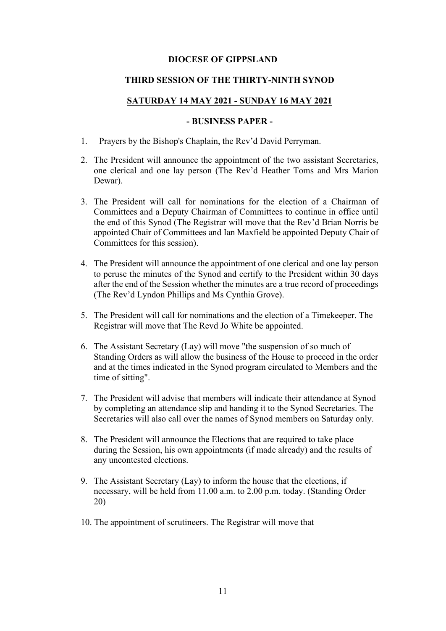#### **DIOCESE OF GIPPSLAND**

#### **THIRD SESSION OF THE THIRTY-NINTH SYNOD**

#### **SATURDAY 14 MAY 2021 - SUNDAY 16 MAY 2021**

### **- BUSINESS PAPER -**

- 1. Prayers by the Bishop's Chaplain, the Rev'd David Perryman.
- 2. The President will announce the appointment of the two assistant Secretaries, one clerical and one lay person (The Rev'd Heather Toms and Mrs Marion Dewar).
- 3. The President will call for nominations for the election of a Chairman of Committees and a Deputy Chairman of Committees to continue in office until the end of this Synod (The Registrar will move that the Rev'd Brian Norris be appointed Chair of Committees and Ian Maxfield be appointed Deputy Chair of Committees for this session).
- 4. The President will announce the appointment of one clerical and one lay person to peruse the minutes of the Synod and certify to the President within 30 days after the end of the Session whether the minutes are a true record of proceedings (The Rev'd Lyndon Phillips and Ms Cynthia Grove).
- 5. The President will call for nominations and the election of a Timekeeper. The Registrar will move that The Revd Jo White be appointed.
- 6. The Assistant Secretary (Lay) will move "the suspension of so much of Standing Orders as will allow the business of the House to proceed in the order and at the times indicated in the Synod program circulated to Members and the time of sitting".
- 7. The President will advise that members will indicate their attendance at Synod by completing an attendance slip and handing it to the Synod Secretaries. The Secretaries will also call over the names of Synod members on Saturday only.
- 8. The President will announce the Elections that are required to take place during the Session, his own appointments (if made already) and the results of any uncontested elections.
- 9. The Assistant Secretary (Lay) to inform the house that the elections, if necessary, will be held from 11.00 a.m. to 2.00 p.m. today. (Standing Order 20)
- 10. The appointment of scrutineers. The Registrar will move that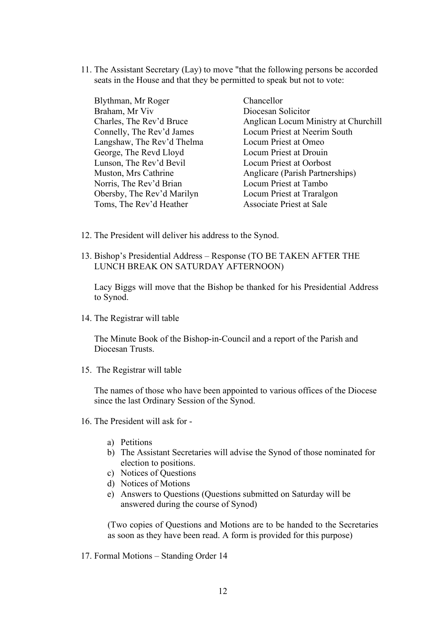11. The Assistant Secretary (Lay) to move "that the following persons be accorded seats in the House and that they be permitted to speak but not to vote:

| Blythman, Mr Roger         | Chancellor             |
|----------------------------|------------------------|
| Braham, Mr Viv             | Diocesan Solic         |
| Charles, The Rev'd Bruce   | Anglican Locu          |
| Connelly, The Rev'd James  | Locum Priest a         |
| Langshaw, The Rev'd Thelma | Locum Priest a         |
| George, The Revd Lloyd     | Locum Priest a         |
| Lunson, The Rev'd Bevil    | Locum Priest a         |
| Muston, Mrs Cathrine       | Anglicare (Par         |
| Norris, The Rev'd Brian    | Locum Priest a         |
| Obersby, The Rev'd Marilyn | Locum Priest a         |
| Toms, The Rev'd Heather    | <b>Associate Prie:</b> |

citor am Ministry at Churchill at Neerim South at Omeo at Drouin at Oorbost rish Partnerships) at Tambo at Traralgon Associate Priest at Sale

- 12. The President will deliver his address to the Synod.
- 13. Bishop's Presidential Address Response (TO BE TAKEN AFTER THE LUNCH BREAK ON SATURDAY AFTERNOON)

Lacy Biggs will move that the Bishop be thanked for his Presidential Address to Synod.

14. The Registrar will table

The Minute Book of the Bishop-in-Council and a report of the Parish and Diocesan Trusts.

15. The Registrar will table

The names of those who have been appointed to various offices of the Diocese since the last Ordinary Session of the Synod.

- 16. The President will ask for
	- a) Petitions
	- b) The Assistant Secretaries will advise the Synod of those nominated for election to positions.
	- c) Notices of Questions
	- d) Notices of Motions
	- e) Answers to Questions (Questions submitted on Saturday will be answered during the course of Synod)

(Two copies of Questions and Motions are to be handed to the Secretaries as soon as they have been read. A form is provided for this purpose)

17. Formal Motions – Standing Order 14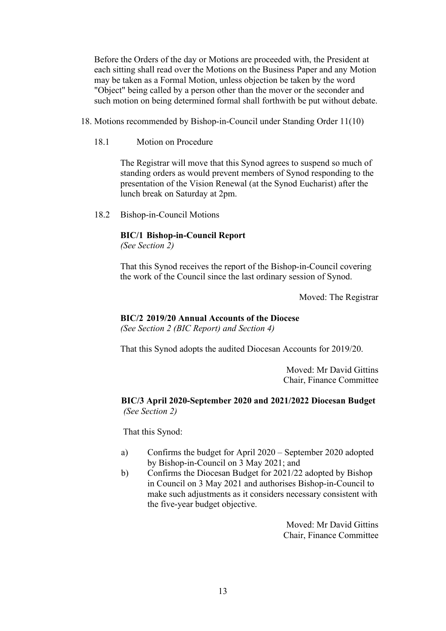Before the Orders of the day or Motions are proceeded with, the President at each sitting shall read over the Motions on the Business Paper and any Motion may be taken as a Formal Motion, unless objection be taken by the word "Object" being called by a person other than the mover or the seconder and such motion on being determined formal shall forthwith be put without debate.

- 18. Motions recommended by Bishop-in-Council under Standing Order 11(10)
	- 18.1 Motion on Procedure

The Registrar will move that this Synod agrees to suspend so much of standing orders as would prevent members of Synod responding to the presentation of the Vision Renewal (at the Synod Eucharist) after the lunch break on Saturday at 2pm.

18.2 Bishop-in-Council Motions

### **BIC/1 Bishop-in-Council Report**

*(See Section 2)*

That this Synod receives the report of the Bishop-in-Council covering the work of the Council since the last ordinary session of Synod.

Moved: The Registrar

#### **BIC/2 2019/20 Annual Accounts of the Diocese**

*(See Section 2 (BIC Report) and Section 4)*

That this Synod adopts the audited Diocesan Accounts for 2019/20.

Moved: Mr David Gittins Chair, Finance Committee

### **BIC/3 April 2020-September 2020 and 2021/2022 Diocesan Budget** *(See Section 2)*

That this Synod:

- a) Confirms the budget for April 2020 September 2020 adopted by Bishop-in-Council on 3 May 2021; and
- b) Confirms the Diocesan Budget for 2021/22 adopted by Bishop in Council on 3 May 2021 and authorises Bishop-in-Council to make such adjustments as it considers necessary consistent with the five-year budget objective.

Moved: Mr David Gittins Chair, Finance Committee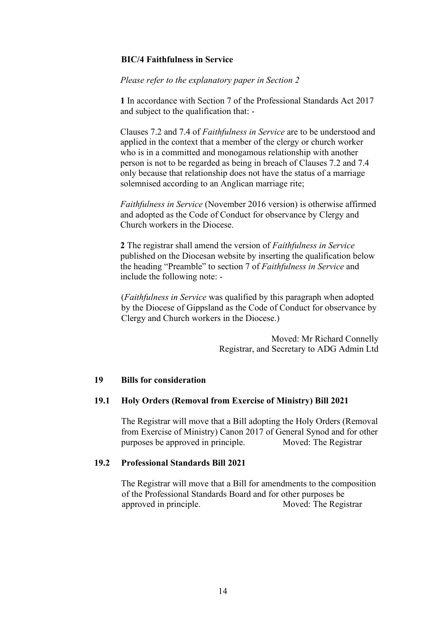### **BIC/4 Faithfulness in Service**

*Please refer to the explanatory paper in Section 2*

**1** In accordance with Section 7 of the Professional Standards Act 2017 and subject to the qualification that: -

Clauses 7.2 and 7.4 of *Faithfulness in Service* are to be understood and applied in the context that a member of the clergy or church worker who is in a committed and monogamous relationship with another person is not to be regarded as being in breach of Clauses 7.2 and 7.4 only because that relationship does not have the status of a marriage solemnised according to an Anglican marriage rite;

*Faithfulness in Service* (November 2016 version) is otherwise affirmed and adopted as the Code of Conduct for observance by Clergy and Church workers in the Diocese.

**2** The registrar shall amend the version of *Faithfulness in Service* published on the Diocesan website by inserting the qualification below the heading "Preamble" to section 7 of *Faithfulness in Service* and include the following note: -

(*Faithfulness in Service* was qualified by this paragraph when adopted by the Diocese of Gippsland as the Code of Conduct for observance by Clergy and Church workers in the Diocese.)

> Moved: Mr Richard Connelly Registrar, and Secretary to ADG Admin Ltd

### **19 Bills for consideration**

### **19.1 Holy Orders (Removal from Exercise of Ministry) Bill 2021**

The Registrar will move that a Bill adopting the Holy Orders (Removal from Exercise of Ministry) Canon 2017 of General Synod and for other<br>purposes be approved in principle. Moved: The Registrar purposes be approved in principle.

### **19.2 Professional Standards Bill 2021**

The Registrar will move that a Bill for amendments to the composition of the Professional Standards Board and for other purposes be approved in principle. Moved: The Registrar